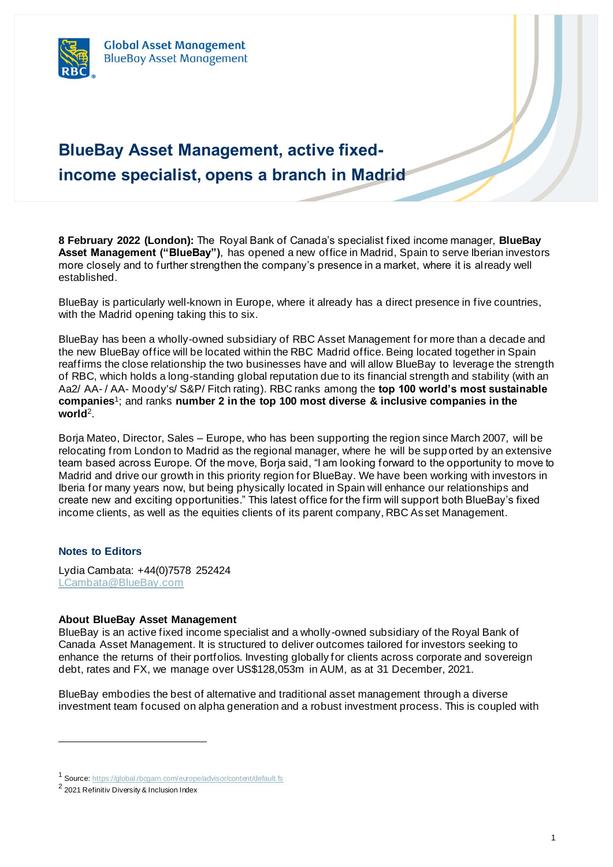## **BlueBay Asset Management, active fixedincome specialist, opens a branch in Madrid**

**8 February 2022 (London):** The Royal Bank of Canada's specialist fixed income manager, **BlueBay Asset Management ("BlueBay")**, has opened a new office in Madrid, Spain to serve Iberian investors more closely and to further strengthen the company's presence in a market, where it is already well established.

BlueBay is particularly well-known in Europe, where it already has a direct presence in five countries, with the Madrid opening taking this to six.

BlueBay has been a wholly-owned subsidiary of RBC Asset Management for more than a decade and the new BlueBay office will be located within the RBC Madrid office. Being located together in Spain reaffirms the close relationship the two businesses have and will allow BlueBay to leverage the strength of RBC, which holds a long-standing global reputation due to its financial strength and stability (with an Aa2/ AA- / AA- Moody's/ S&P/ Fitch rating). RBC ranks among the **top 100 world's most sustainable companies**<sup>1</sup> ; and ranks **number 2 in the top 100 most diverse & inclusive companies in the world**<sup>2</sup> .

Borja Mateo, Director, Sales – Europe, who has been supporting the region since March 2007, will be relocating from London to Madrid as the regional manager, where he will be supp orted by an extensive team based across Europe. Of the move, Borja said, "I am looking forward to the opportunity to move to Madrid and drive our growth in this priority region for BlueBay. We have been working with investors in Iberia for many years now, but being physically located in Spain will enhance our relationships and create new and exciting opportunities." This latest office for the firm will support both BlueBay's fixed income clients, as well as the equities clients of its parent company, RBC As set Management.

## **Notes to Editors**

Lydia Cambata: +44(0)7578 252424 [LCambata@BlueBay.com](mailto:LCambata@BlueBay.com)

## **About BlueBay Asset Management**

BlueBay is an active fixed income specialist and a wholly-owned subsidiary of the Royal Bank of Canada Asset Management. It is structured to deliver outcomes tailored for investors seeking to enhance the returns of their portfolios. Investing globally for clients across corporate and sovereign debt, rates and FX, we manage over US\$128,053m in AUM, as at 31 December, 2021.

BlueBay embodies the best of alternative and traditional asset management through a diverse investment team focused on alpha generation and a robust investment process. This is coupled with

<sup>1</sup> Source[: https://global.rbcgam.com/europe/advisor/content/default.fs](https://global.rbcgam.com/europe/advisor/content/default.fs)

<sup>&</sup>lt;sup>2</sup> 2021 Refinitiv Diversity & Inclusion Index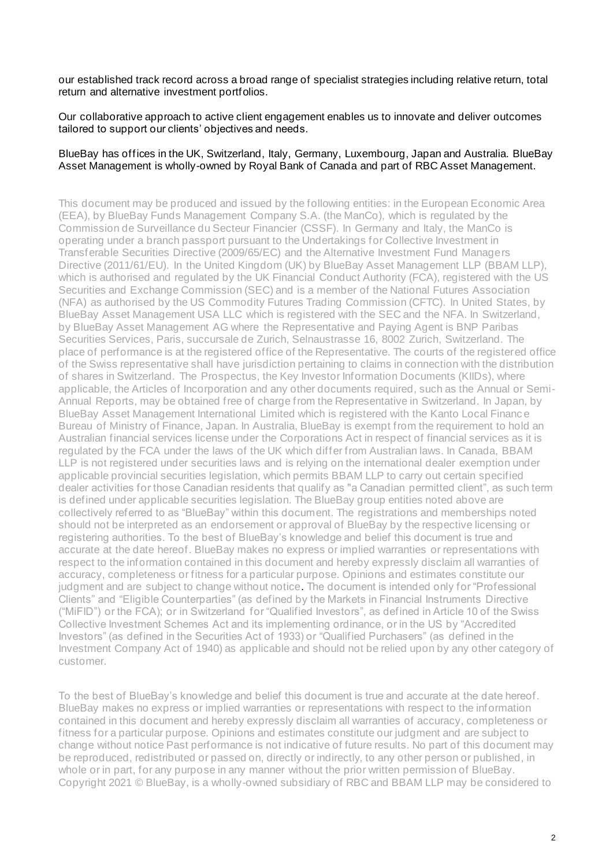our established track record across a broad range of specialist strategies including relative return, total return and alternative investment portfolios.

Our collaborative approach to active client engagement enables us to innovate and deliver outcomes tailored to support our clients' objectives and needs.

## BlueBay has offices in the UK, Switzerland, Italy, Germany, Luxembourg, Japan and Australia. BlueBay Asset Management is wholly-owned by Royal Bank of Canada and part of RBC Asset Management.

This document may be produced and issued by the following entities: in the European Economic Area (EEA), by BlueBay Funds Management Company S.A. (the ManCo), which is regulated by the Commission de Surveillance du Secteur Financier (CSSF). In Germany and Italy, the ManCo is operating under a branch passport pursuant to the Undertakings for Collective Investment in Transferable Securities Directive (2009/65/EC) and the Alternative Investment Fund Managers Directive (2011/61/EU). In the United Kingdom (UK) by BlueBay Asset Management LLP (BBAM LLP), which is authorised and regulated by the UK Financial Conduct Authority (FCA), registered with the US Securities and Exchange Commission (SEC) and is a member of the National Futures Association (NFA) as authorised by the US Commodity Futures Trading Commission (CFTC). In United States, by BlueBay Asset Management USA LLC which is registered with the SEC and the NFA. In Switzerland, by BlueBay Asset Management AG where the Representative and Paying Agent is BNP Paribas Securities Services, Paris, succursale de Zurich, Selnaustrasse 16, 8002 Zurich, Switzerland. The place of performance is at the registered office of the Representative. The courts of the registered office of the Swiss representative shall have jurisdiction pertaining to claims in connection with the distribution of shares in Switzerland. The Prospectus, the Key Investor Information Documents (KIIDs), where applicable, the Articles of Incorporation and any other documents required, such as the Annual or Semi-Annual Reports, may be obtained free of charge from the Representative in Switzerland. In Japan, by BlueBay Asset Management International Limited which is registered with the Kanto Local Financ e Bureau of Ministry of Finance, Japan. In Australia, BlueBay is exempt from the requirement to hold an Australian financial services license under the Corporations Act in respect of financial services as it is regulated by the FCA under the laws of the UK which differ from Australian laws. In Canada, BBAM LLP is not registered under securities laws and is relying on the international dealer exemption under applicable provincial securities legislation, which permits BBAM LLP to carry out certain specified dealer activities for those Canadian residents that qualify as "a Canadian permitted client", as such term is defined under applicable securities legislation. The BlueBay group entities noted above are collectively referred to as "BlueBay" within this document. The registrations and memberships noted should not be interpreted as an endorsement or approval of BlueBay by the respective licensing or registering authorities. To the best of BlueBay's knowledge and belief this document is true and accurate at the date hereof. BlueBay makes no express or implied warranties or representations with respect to the information contained in this document and hereby expressly disclaim all warranties of accuracy, completeness or fitness for a particular purpose. Opinions and estimates constitute our judgment and are subject to change without notice. The document is intended only for "Professional Clients" and "Eligible Counterparties" (as defined by the Markets in Financial Instruments Directive ("MiFID") or the FCA); or in Switzerland for "Qualified Investors", as defined in Article 10 of the Swiss Collective Investment Schemes Act and its implementing ordinance, or in the US by "Accredited Investors" (as defined in the Securities Act of 1933) or "Qualified Purchasers" (as defined in the Investment Company Act of 1940) as applicable and should not be relied upon by any other category of customer.

To the best of BlueBay's knowledge and belief this document is true and accurate at the date hereof. BlueBay makes no express or implied warranties or representations with respect to the information contained in this document and hereby expressly disclaim all warranties of accuracy, completeness or fitness for a particular purpose. Opinions and estimates constitute our judgment and are subject to change without notice Past performance is not indicative of future results. No part of this document may be reproduced, redistributed or passed on, directly or indirectly, to any other person or published, in whole or in part, for any purpose in any manner without the prior written permission of BlueBay. Copyright 2021 © BlueBay, is a wholly-owned subsidiary of RBC and BBAM LLP may be considered to